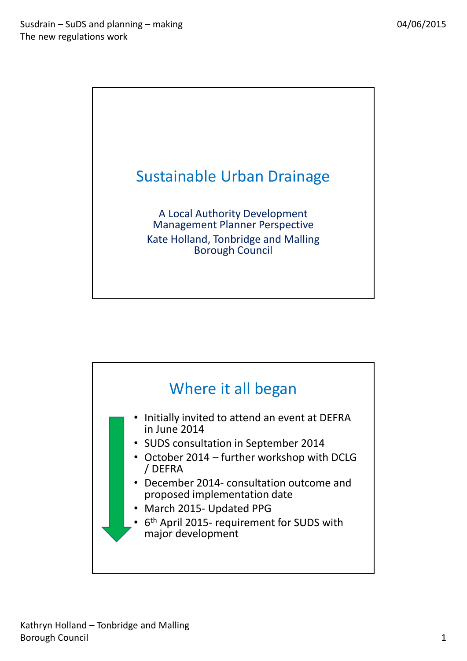

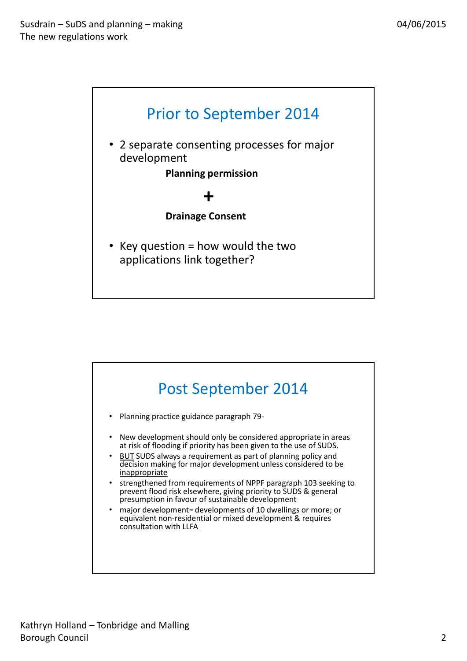

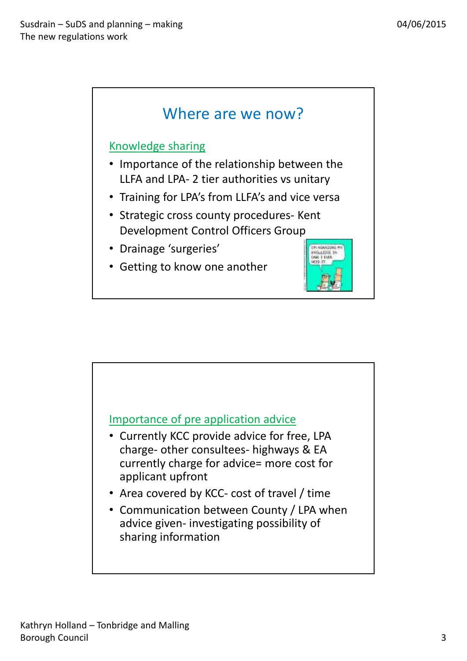

## Knowledge sharing

- Importance of the relationship between the LLFA and LPA- 2 tier authorities vs unitary
- Training for LPA's from LLFA's and vice versa
- Strategic cross county procedures- Kent Development Control Officers Group
- Drainage 'surgeries'
- Getting to know one another



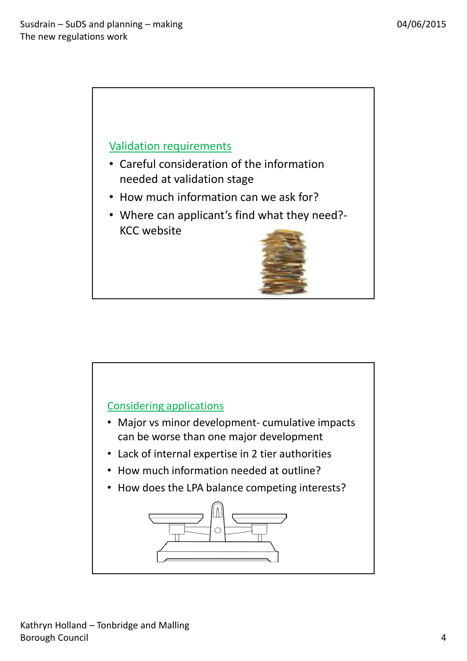

- Careful consideration of the information needed at validation stage
- How much information can we ask for?
- Where can applicant's find what they need?- KCC website

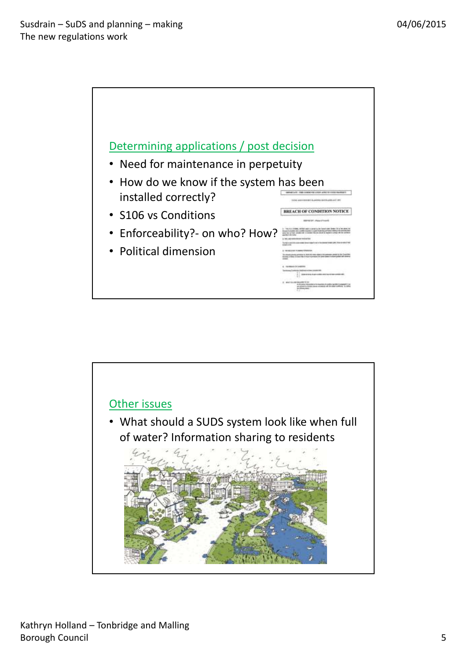

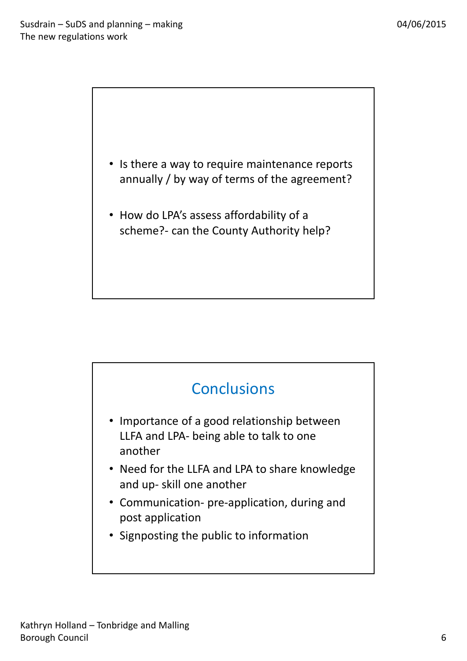• Is there a way to require maintenance reports annually / by way of terms of the agreement?

• How do LPA's assess affordability of a scheme?- can the County Authority help?